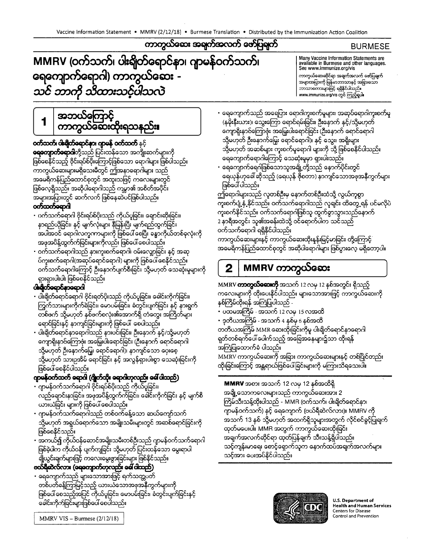# MMRV (ဝက်သက်၊ ပါးရိုတ်ရောင်နာ၊ ဂျာမန်ဝက်သက်၊ ရေကျောက်ရောဂါ) ကာကွယ်ဆေး -သင် ဘာကို သိထားသင့်ပါသလဲ

### **BURMESE**

Many Vaccine Information Statements are available in Burmese and other languages. See www.immunize.org/vis

ကာကွယ်ဆေးဆိုင်ရာ အချက်အလက် ဇော်ပြချက်<br>အများအပြားကို မြန်မာဘာသာနှင့် အခြားသော ဘာသာစကားများဖြင့် ရရှိနိုင်ပါသည်။ www.immunize.org/vis တွင် ကြည့်ရှုပါ။

အဘယ်ကြောင့်<br>ကာကွယ်ဆေးထိုးရသနည်း**၊** 

### **ဝတ်သတ်၊ ပါးချိတ်ရောင်နာ၊ ဂျာမန် ဝတ်သတ်** နှင့်

**ရေတျောတ်ခောဂါ**တို့သည် ပြင်းထန်သော အကျိုးဆက်များကို ဖြစ်စေနိုင်သည့် ဗိုင်းရပ်စ်ပိုးကြောင့်ဖြစ်သော ရောဂါများ ဖြစ်ပါသည်။ ကာကွယ်ဆေးများမရှိသေးမီတွင် ဤအနာရောဂါများ သည် အမေရိကန်ပြည်ထောင်စုတွင် အထူးသဖြင့် ကလေးများတွင် ဖြစ်လေ့ရှိသည်။ အဆိုပါရောဂါသည် ကမ္ဘာ၏ အစိတ်အပိုင်း အများအပြားတွင် ဆက်လက် ဖြစ်နေဆဲပင်ဖြစ်ပါသည်။ ဝတ်သက်ရောဂါ

- ပက်သက်ရောဂါ ဗိုင်းရပ်စ်ပိုးသည် ကိုယ်ပူခြင်း၊ ချောင်းဆိုးခြင်း၊ နာရည်ယိုခြင်း၊ နှင့် မျက်လုံးများ နီမြန်းပြီး မျက်ရည်ထွက်ခြင်း အပါအဝင် ရောဂါလက္ခကာများကို ဖြစ်ပေါ် စေပြီး ခန္ဓာကိုယ်တစ်ခုလုံးကို အဖုအပိန့်ထွက်က်ခြင်းများကိုလည်း ဖြစ်ပေါ် စေပါသည်။
- ဝက်သက်ရောဂါသည် နားကူးစက်ရောဂါ၊ ဝမ်းလျောခြင်း နှင့် အဆု ပ်ကူးစက်ရောဂါ(အဆုပ်ရောင်ရောဂါ) များကို ဖြစ်ပေါ် စေနိုင်သည်။ ဝက်သက်ရောဂါကြောင့် ဦးနောက်ပျက်စီးခြင်း သို့မဟုတ် သေဆုံးမှုများကို ရှားရှားပါးပါး ဖြစ်စေနိုင်သည်။

### င်းရိုက်ရောင်နာရောဂါ

1

- ပါးချိတ်ရောင်ရောဂါ ဗိုင်းရတ်ပိုးသည် ကိုယ်ပူခြင်း၊ ခေါင်းကိုက်ခြင်း၊ ကြွက်သားများကိုက်ရဲရင်း၊ မောပမ်းခြင်း၊ ခံတွင်းပျက်ခြင်း နှင့် နားရွက် တစ်ဖက် သို့မဟုတ် နှစ်ဖက်စလုံး၏အောက်ရှိ တံတွေး အကြိတ်များ ရောင်ခြင်းနှင့် နာကျင်ခြင်းများကို ဖြစ်ပေါ် စေပါသည်။
- ပါးချိတ်ရောင်နာရောဂါသည် နားပင်းခြင်း၊ ဦးနောက် နှင့်/သို့မဟုတ် ကျောရိုးနာင်ကြောင်း အမြှေးပါးရောင်ခြင်း (ဦးနောက် ရောင်ရောဂါ သို့မဟုတ် ဦးနောက်မြှေး ရောင်ရောဂါ)၊ နာကျင်သော ပေးစေ့ သို့မဟုတ် သားဥအိမ် ရောင်ခြင်း နှင့် အလွန်ရှားပါးစွာ သေဆုံးခြင်းကို ဖြစ်ပေါ် စေနိုင်ပါသည်။

## ကူဖန်ဝတ်သက် ရောဂါ (ဂျိုက်သိုး ရောဂါဟုလည်း ခေါ် ပါသည်)

- ဂျာမန်ဝက်သက်ရောဂါ ဗိုင်းရပ်စ်ပိုးသည် ကိုယ်ပူခြင်း၊ လည်ချောင်းနာခြင်း၊ အဖုအပိန့်ထွက်က်ခြင်း၊ ခေါင်းကိုက်ခြင်း နှင့် မျက်စိ ယားယံခြင်း များကို ဇြစ်ပေါ် စေပါသည်။
- ဂျာမန်ဝက်သက်ရောဂါသည် တစ်ဝက်ခန့်သော ဆယ်ကျော်သက် သို့မဟုတ် အရွယ်ရောက်သော အမျိုးသမီးများတွင် အဆစ်ရောင်ခြင်းကို ဖြစ်စေနိုင်သည်။
- အကယ်၍ ကိုယ်ဝန်ဆောင်အမျိုးသမီးတစ်ဦးသည် ဂျာမန်ဝက်သက်ရောဂါ ဖြစ်ခဲ့ပါက ကိုယ်ဝန် ပျက်ကျရြင်း သို့မဟုတ် ပြင်းထန်သော မွေးရာပါ .<br>ချိုယွင်းချက်များဖြင့် ကလေးမွေးဖွားခြင်းများ ဖြစ်နိုင်သည်။

## တော်ရှိဆဲလ်လား (ရေကျောက်တုလည်း ခေါ် ပါသည်)

ရေကျောက်သည် များသောအားဖြင့် ရက်သတ္တပတ် တစ်ပတ်ခန့်ကြာမြင့်သည့် ယားယံသောအဖုအနီကွက်များကို ဖြစ်ပေါ် စေသည့်အပြင် ကိုယ်ပူခြင်း၊ မောပမ်းခြင်း၊ ခံတွင်းပျက်ခြင်းနှင့် ခေါင်းကိုက်ခြင်းများဖြစ်ပေါ် စေပါသည်။

• ရေကျောက်သည် အရေပြား ရောဂါကူးစက်မှုများ၊ အဆုပ်ရောဂါကူးစက်မှု (နမိုးနီးယား)၊ သွေးကြော ရောင်ရမ်းခြင်း၊ ဦးနောက် နှင့်/သို့မဟုတ် ကျောရိုးနာဝ်ကြောဇုံး အမြှေးပါးရောင်ခြင်း (ဦးနောက် ရောင်ရောဂါ သို့မဟုတ် ဦးနောက်မြှေး ရောင်ရောဂါ)၊ နှင့် သွေး၊ အရိုးများ သို့မဟုတ် အဆစ်များ ကူးစက်မှုရောဂါ များကို သို့ ဖြစ်စေနိင်ပါသည်။ ရေကျောက်ရောဂါကြောင့် သေဆုံးမှုမှာ ရှားပါးသည်။

• ရေကျောက်ရေဂါဖြစ်သောသူအချို့တို့သည် နောက်ပိုင်းတွင် ရေယုန်ဟုခေါ် ဆိုသည့် (ရေယုန် ဇိုစတာ) နာကျင်သောအဖုအနီကွက်များ ဖြစ်ပေါ် ပါသည်။

ဤကြောဂါများသည် လူတစ်ဦးမှ နောက်တစ်ဦးထံသို့ လွယ်ကူစွာ ကူးစက်ပျံ့နှံ့နိုင်သည်။ ဝက်သက်ရောဂါသည် လူချင်း ထိတွေ့ရန် ပင်မလိုပဲ ကုံးစက်နိုင်သည်။ ဝက်သက်ရောဂါဖြစ်သူ ထွက်စွာသွားသည်နောက် 2 နာရီအတွင်း သူ၏အခန်းထဲသို့ ဝင်ရောက်ပါက သင်သည် ဝက်သက်ရောဂါ ရရှိနိုင်ပါသည်။

ကာကွယ်ဆေးများနှင့် ကာကွယ်ဆေးထိုးနှန်းမြင့်မာခြင်း တို့ကြောင့် အမေရိကန်ပြည်ထောင်စုတွင် အဆိုပါရောဂါများ ဖြစ်ပွားလေ့ မရှိတော့ပါ။

MMRV ကာကွယ်ဆေး  $\overline{2}$ 

MMRV တာတွယ်ဆေးကို အသက် 12 လမှ 12 နစ်အတွင်း ရှိသည့် ကလေးများကို ထိုးပေးနိုင်ပါသည်။ များသောအားဖြင့် ကာကွယ်ဆေးကို နှစ်ကြိမ်ထိုးရန် အကြံပြုပါသည် -

- ပထမအကြိမ် အသက် 12 လမှ 15 လအထိ
- ဒုတိယအကြိမ် အသက် 4 နစ်မှ 6 နစ်အထိ

တတိယအကြိမ် MMR ဆေးထိုးခြင်းကိုမူ ပါးချိတ်ရောင်နာရောဂါ ရုတ်တစ်ရက်ပေါ် ပေါက်သည့် အခြေအနေမျာ<mark>း</mark>၌သာ ထိုးရန် အကြံပြုထောက်ခံ ပါသည်။

MMRV ကာကွယ်ဆေးကို အခြား ကာကွယ်ဆေးများနင့် တစ်ပြိုင်တည်း ထိုးခြင်းကြောင့် အန္တရာယ်ဖြစ်ပေါ်ခြင်းများကို မကြားသိရသေးပါ။

MMRV အစား အသက် 12 လမှ 12 နစ်အထိရှိ အချို့သောကလေးများသည် ကာကွယ်ဆေးအား 2 ကြိမ်သီးသန့်ထိုးပါသည် - MMR (ဝက်သက်၊ ပါးချိတ်ရောင်နာ၊ ဂျာမန်ဝက်သက်) နှင့် ရေကျောက် (ဗယ်ရီဆဲလ်လား)။ MMRV ကို အသက် 13 နစ် သို့မဟုတ် အထက်ရှိသူများအတွက် လိုင်စင်ခွင့်ပြုချက် ထုတ်မပေးပါ။ MMR အတွက် ကာကွယ်ဆေးထိုးခြင်း အရျက်အလက်ဆိုင်ရာ ထုတ်ပြန်ချက် သီးသန့်ရှိပါသည်။ သင့်ကျန်းမာရေး စောင့်ရှောက်သူက နောက်ထပ်အချက်အလက်များ သင့်အား ပေးအပ်နိုင်ပါသည်။



**U.S. Department of Health and Human Services Centers for Disease** Control and Prevention

MMRV VIS - Burmese (2/12/18)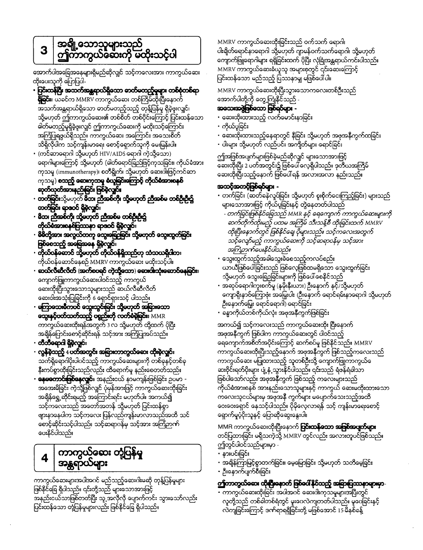# $\mathbf{3}$

အောက်ပါအခြေအနေများရှိမည်ဆိုလျှင် သင့်ကလေးအား ကာကွယ်ဆေး ထီးပေးသူကို ပြောပြပါ-

- ပြင်းထန်ပြီး အသက်အန္တရာယ်ရှိသော ဓာတ်တေည့်မှုများ တစ်စုံတစ်ရာ **နှိုခြင်း**။ ယခင်က MMRV ကာကွယ်ဆေး တစ်ကြိမ်ထိုးပြီးနောက် အသက်အန္တရာယ်ရှိသော ဓာတ်မတည့်သည့် တုန့်ပြန်မှု ရှိခဲ့ဖူးလျှင်၊ သို့မဟုတ် ဤကာကွယ်ဆေး၏ တစ်စိတ် တစ်ပိုင်းကြောင့် ပြင်းထန်သော ခါတ်မတည့်မှုရှိခဲ့ဖူးလျှင် ဤကာကွယ်ဆေးကို မထိုးသင့်ကြောင်း အကြံပြုရဖွယ်ရှိသည်။ ကာကွယ်ဆေး အကြောင်း အသေးစိတ် သိရှိလိုပါက သင့်ကျန်းမာရေး စောင့်ရှောက်သူကို မေးမြန်းပါ။
- (ကင်ဆာရောဂါ သို့မဟုတ် HIV/AIDS ရောဂါ ကဲ့သို့သော) ရောဂါများကြောင့် သို့မဟုတ် (ဓါတ်ရောင်ခြည်ဖြင့်ကုသခြင်း၊ ကိုယ်ခံအား ကုသမှု (immunotherapy)၊ စတိရွိုက်၊ သို့မဟုတ် ဆေးဂါးဖြင့်ကင်ဆာ ကုသမှ) **သေည့် ဆေးကုသမှ စံသူခြင်းကြောင့် ကိုယ်စံအားစနစ်** ဆုတ်သုတ်အားနည်းခြင်း ဖြစ်ခဲ့လျှင်။
- **တက်ခြင်း**သို့မဟုတ် **မိဘ၊ ညီအစ်ကို၊ သို့မဟုတ် ညီအစ်မ တစ်ဦးဦး၌** တက်ခြင်း ရာဇဝင် ရှိခဲ့လျင်။
- ဓိဘ၊ ညီအစ်ကို၊ သို့မဟုတ် ညီအစ်မ တစ်ဦးဦး၌ တိုယ်ခံအားစနစ်ပြဿနာ ရာဇဝင် ရှိခဲ့လျှင်။
- မိမိတို့အား အလွယ်တကူ တွေးရောရြာမြာ သို့မဟုတ် သွေးထွက်ခြင်း ဖြစ်စေသည့် အခြေအနေ ရှိခဲ့လျှင်။
- တိုယ်ဝန်ဆောင် ဆို့မဟုတ် တိုယ်ဝန်ရှိသည်ဟု သံသယရှိပါတ။ ကိုယ်ဝန်ဆောင်နေစဉ် MMRV ကာကွယ်ဆေး မထိုးသင့်ပါ။
- ဆယ်လီဆီလိတ် (အက်စပရင် ကဲ့သို့သော) ဆေးဝါးသုံးဆောင်နေခြင်း။ ကျောက်ဖြူကာကွယ်ဆေးပါဝင်သည့် ကာကွယ် ဆေးထိုးပြီးသွားသောသူများသည် ဆယ်လီဆီလိတ် ဆေးဝါးအသုံးပြုခြင်းကို 6 ရှောင်ရှားသင့် ပါသည်။
- ကြောသေးမီကပင် သွေးသွင်းခြင်း သို့ဟေုတ် အရြားသော **သွေးနှင့်ပတ်သတ်သည့် ပစ္စည်းကို လက်ခံခဲ့ခြင်း**။ MMR ကာကွယ်ဆေးထိုးရန်အတွက် 3 လ သို့မဟုတ် ထို့ထက် ပိုပြီး အရှိန်ပြောင်းစောင့်ဆိုင်းရန် သင့်အား အကြံပြုအပ်သည်။
- တီဘီရောဂါ ရှိခဲ့လျင်။
- လွန်ခဲ့သည့် 4 ပတ်အတွင်း အခြားကာတွယ်ဆေး ထိုးခဲ့လျှင်း သက်ရှိရောဂါပိုးပါပင်သည့် ကာကွယ်ဆေးများကို တစ်ခုနှင့်တစ်ခု နီးကပ်စွာထိုးခြင်းသည်လည်း ထိရောက်မှု နည်းစေတတ်သည်။
- **နေမတောင်းဇြစ်နေလျှင်**။ အနည်းငယ် နာမကျန်းဖြစ်ခြင်း ဥပမာ -အအေးမိခြင်း ကဲ့သို့ဖြစ်လျှင် ပုံမှန်အားဖြင့် ကာကွယ်ဆေးထိုးခြင်း အချိန်ရွှေ့ဆိုင်းရမည့် အကြောင်းရင်း မဟုတ်ပါ။ အကယ်၍ သင့်ကလေးသည် အတော်အတန် သို့မဟုတ် ပြင်းထန်စွာ ဖျားနာနေပါက သင့်ကလေး ပြန်လည်ကျန်းမာလာသည်အထိ သင် စောင့်ဆိုင်းသင့်ပါသည်။ သင့်ဆရာပန်မှ သင့်အား အကြံဉာက် ပေးနိုင်ပါသည်။

### ကာကွယ့်ဆေး တုံ့ပြန်မှု 4 အန္တရာယ်များ

ကာကွယ်ဆေးများအပါအဂင် မည်သည့်ဆေးဂါးမဆို တုန့်ပြန်မှုများ ဖြစ်နိုင်ခြေ ရှိပါသည်။ ၎င်းတို့သည် များသောအားဖြင့် အနည်းငယ်သာဖြစ်တတ်ပြီး သူ့အလိုလို ပျောက်ကင်း သွားသော်လည်း ပြင်းထန်သော တုံ့ပြန်မှုများလည်း ဖြစ်နိုင်ခြေ ရှိပါသည်။

MMRV ကာကွယ်ဆေးထိုးခြင်းသည် ဝက်သက် ရောဂါ၊ ပါးချိတ်ရောင်နာရောဂါ သို့မဟုတ် ဂျာမန်ဝက်သက်ရောဂါ၊ သို့မဟုတ် ကျောက်ဖြူရောဂါများ ရရှိခြင်းထက် ပိုပြီး လုံခြုံအန္တရာယ်ကင်းပါသည်။ MMRV ကာကွယ်ဆေးခံယူသူ အများစုတွင် ၎င်းဆေးကြောင့် ပြင်းထန်သော မည်သည့် ပြဿနာမျ မဖြစ်ပေါ်ပါ။

MMRV ကာကွယ်ဆေးထိုးပြီးသွားသောကလေးတစ်ဦးသည် အောက်ပါတို့ကို တွေ့ကြုံနိုင်သည် -

# အသေးအဖွဲ့ဖြစ်သော ဖြစ်ရင်များ -

- ဆေးထိုးထားသည့် လက်မောင်းနာခြင်း
- ကိုယ်ပူရင်း
- ဆေးထိုးထားသည့်နေရာတွင် နီခြင်း သို့မဟုတ် အဖုအနီကွက်ထခြင်း
- ပါးများ သို့မဟုတ် လည်ပင်း အကျိတ်များ ရောင်ခြင်း

ဤအဖြစ်အပျက်များဖြစ်ခဲ့မည်ဆိုလျင် များသောအားဖြင့် ဆေးထိုးပြီး 2 ပတ်အတွင်း၌ ဖြစ်ပေါ် လေ့ရှိပါသည်။ ဒုတိယအကြိမ် ဆေးထိုးပြီးသည့်နောက် ဖြစ်ပေါ် ရန် အလားအလာ နည်းသည်။

## အသင့်အတင့်ဖြစ်ရင်များ -

- တက်ခြင်း (ဆတ်ခနဲလှုပ်ခြင်း သို့မဟုတ် စူးစိုက်ငေးကြည့်ခြင်း) များသည် များသောအားဖြင့် ကိုယ်ပူခြင်းနှင့် တွဲနေတတ်ပါသည်
- တက်ခြင်းဖြစ်နိုင်ခြေသည် MMR နှင့် ရေကျောက် ကာကွယ်ဆေးများကို ဆက်တိုက်ထိုးမည့် ပထမ အကြိမ် သီးသန့်စီ ထိုးခြင်းထက် MMRV ထိုးပြီးနောက်တွင် ဖြစ်နိုင်ချေ ပိုများသည်။ သင့်ကလေးအတွက် သင့်လျော်မည့် ကာကွယ်ဆေးကို သင့်ဆရာဝန်မှ သင့်အား အကြံဉာဏ်ပေးနိုင်ပါသည်။
- သွေးထွက်သည့်အခါသွေးခဲစေသည့်ကလပ်စည်း ယာယီဖြစ်ပေါ်ခြင်းသည် ဖြစ်လေ့ဖြစ်ထမရှိသော သွေးထွက်ခြင်း သို့မဟုတ် သွေးခြေဉခြင်းများကို ဖြစ်ပေါ် စေနိုင်သည်
- အဆုပ်ရောဂါကူးစက်မှု (နမိုးနီးယား) ဦးနောက် နှင့်/သို့မဟုတ် ကျောရိုးနာဝ်ကြောဇုံး အမြှေးပါး (ဦးနောက် ရောင်ရမ်းနာရောဂါ သို့မဟုတ် ဉီးနောက်မြှေး ရောင်ရောဂါ) ရောင်ခြင်း
- ခန္ဓာကိုယ်တစ်ကိုယ်လုံး အဖုအနီကွက်ဖြစ်ခြင်း

အကယ်၍ သင့်ကလေးသည် ကာကွယ်ဆေးထိုး ပြီးနောက် အဖုအနီကွက် ဖြစ်ပါက ကာကွယ်ဆေးတွင် ပါဝင်သည့် ရေကျောက်အစိတ်အဝိုင်းကြောင့် ဆက်စပ်မှု ဖြစ်နိုင်သည်။ MMRV ကာကွယ်ဆေးထိုးပြီးသည့်နောက် အဖုအနီကွက် ဖြစ်သည့်ကလေးသည် ကာကွယ်ဆေး မပြုထားသည့် သူတစ်ဦးသို့ ကျောက်ဖြူကာကွယ်စေ ဖြစ်ပါသော်လည်း အဖုအနီကွက် ဖြစ်သည့် ကလေးများသည် ကိုယ်ခံအားစနစ် အားနည်းသောသူများနှင့် ကာကွယ် ဆေးမထိုးထားသော ကလေးသူငယ်များမှ အဖုအနီ ကွက်များ မပျောက်သေးသည့်အထိ ဝေးဝေးရှောင် နေသင့်ပါသည်။ ပိုမိုလေ့လာရန် သင့် ကျန်းမာရေးစောင့် ရောက်မှပုံပိုးသူနှင့် ပြောဆိုထွေးနွေးပါ။

MMR ကာကွယ်ဆေးထိုးပြီးနောက် **ပြင်းထန်သော အဖြစ်အပျက်များ** တင်ပြထားခြင်း မရှိသကဲ့သို့ MMRV တွင်လည်း အလားတူပင်ဖြစ်သည်။ ဤတွင်ပါဝင်သည်များမှာ -

- **:**3ြေးဒိပးငန
- အရှိန်ကြာမြင့်စွာတက်ခြင်း၊ မေ့မြောခြင်း သို့မဟုတ် သတိမေ့ခြင်း
- ဦးနောက်ပျက်စီးခြင်း

## ဤဘာတွယ်လေး ထိုးပြီးနောက် ဖြစ်ပေါ်နိုင်သည့် အရြားပြဿနာများမှာ-

• ကာကွယ်ဆေးထိုးခြင်း အပါအပင် ဆေးပါးကုသမှုများအပြီးတွင် လူတို့သည် တစ်ခါတစ်ရံတွင် မူးပေလဲကျတတ်ပါသည်။ မူပေခြင်းနှင့် လဲကျခြင်းကြောင့် ဒဏ်ရာရရှိရှိုင်းတို့ မဖြစ်အောင် 15 မိနစ်ခန့်